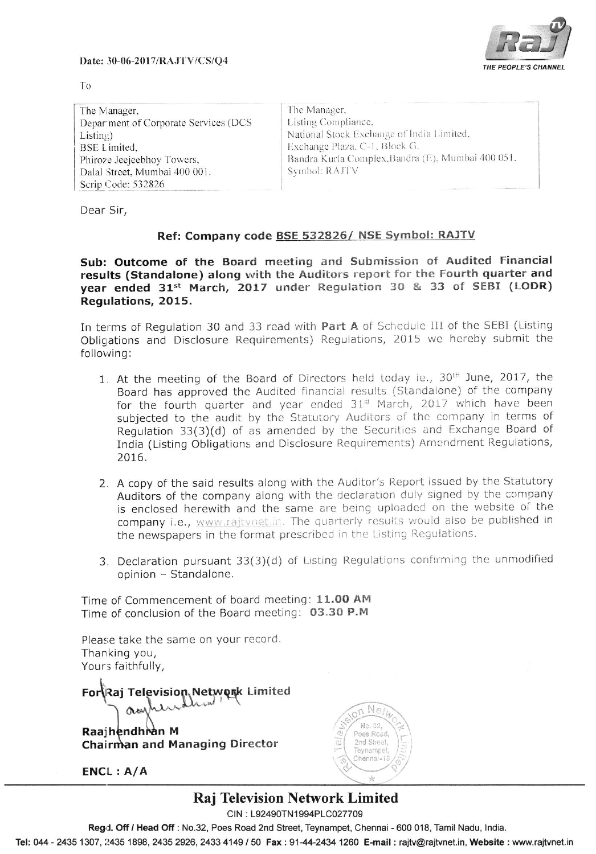#### Date: 30-06-2017/RAJTV/CS/Q4



The Manager. The Manager. Listing Compliance, Depar ment of Corporate Services (DCS National Stock Exchange of India Limited, Listing) Exchange Plaza, C-1, Block G. **BSE Limited.** Bandra Kurla Complex, Bandra (E), Mumbai 400 051. Phiroze Jeejeebhov Towers. Dalal Street, Mumbai 400 001. Symbol: RAJTV Scrip Code: 532826

Dear Sir,

### Ref: Company code BSE 532826/ NSE Symbol: RAJTV

Sub: Outcome of the Board meeting and Submission of Audited Financial results (Standalone) along with the Auditors report for the Fourth quarter and year ended 31<sup>st</sup> March, 2017 under Regulation 30 & 33 of SEBI (LODR) Regulations, 2015.

In terms of Regulation 30 and 33 read with Part A of Schedule III of the SEBI (Listing Obligations and Disclosure Requirements) Regulations, 2015 we hereby submit the following:

- 1. At the meeting of the Board of Directors held today ie., 30<sup>th</sup> June, 2017, the Board has approved the Audited financial results (Standalone) of the company for the fourth quarter and year ended 31<sup>st</sup> March, 2017 which have been subjected to the audit by the Statutory Auditors of the company in terms of Regulation 33(3)(d) of as amended by the Securities and Exchange Board of India (Listing Obligations and Disclosure Requirements) Amendment Regulations, 2016.
- 2. A copy of the said results along with the Auditor's Report issued by the Statutory Auditors of the company along with the declaration duly signed by the company is enclosed herewith and the same are being uploaded on the website of the company i.e., www.rajtvnet.in. The quarterly results would also be published in the newspapers in the format prescribed in the Listing Regulations.
- 3. Declaration pursuant 33(3)(d) of Listing Regulations confirming the unmodified opinion - Standalone.

Time of Commencement of board meeting: 11.00 AM Time of conclusion of the Board meeting: 03.30 P.M

Please take the same on your record. Thanking you, Yours faithfully,

For Raj Television, Network Limited

Raajhendhian M **Chairman and Managing Director** 

 $ENCL: A/A$ 



# **Raj Television Network Limited**

CIN: L92490TN1994PLC027709

Reg.d. Off / Head Off : No.32, Poes Road 2nd Street, Teynampet, Chennai - 600 018, Tamil Nadu, India.

Tel: 044 - 2435 1307, 2435 1898, 2435 2926, 2433 4149 / 50 Fax : 91-44-2434 1260 E-mail : rajtv@rajtvnet.in, Website : www.rajtvnet.in

To